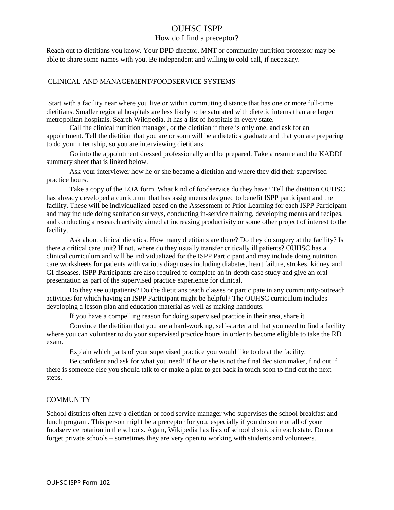## OUHSC ISPP

### How do I find a preceptor?

Reach out to dietitians you know. Your DPD director, MNT or community nutrition professor may be able to share some names with you. Be independent and willing to cold-call, if necessary.

### CLINICAL AND MANAGEMENT/FOODSERVICE SYSTEMS

Start with a facility near where you live or within commuting distance that has one or more full-time dietitians. Smaller regional hospitals are less likely to be saturated with dietetic interns than are larger metropolitan hospitals. Search Wikipedia. It has a list of hospitals in every state.

Call the clinical nutrition manager, or the dietitian if there is only one, and ask for an appointment. Tell the dietitian that you are or soon will be a dietetics graduate and that you are preparing to do your internship, so you are interviewing dietitians.

Go into the appointment dressed professionally and be prepared. Take a resume and the KADDI summary sheet that is linked below.

Ask your interviewer how he or she became a dietitian and where they did their supervised practice hours.

Take a copy of the LOA form. What kind of foodservice do they have? Tell the dietitian OUHSC has already developed a curriculum that has assignments designed to benefit ISPP participant and the facility. These will be individualized based on the Assessment of Prior Learning for each ISPP Participant and may include doing sanitation surveys, conducting in-service training, developing menus and recipes, and conducting a research activity aimed at increasing productivity or some other project of interest to the facility.

Ask about clinical dietetics. How many dietitians are there? Do they do surgery at the facility? Is there a critical care unit? If not, where do they usually transfer critically ill patients? OUHSC has a clinical curriculum and will be individualized for the ISPP Participant and may include doing nutrition care worksheets for patients with various diagnoses including diabetes, heart failure, strokes, kidney and GI diseases. ISPP Participants are also required to complete an in-depth case study and give an oral presentation as part of the supervised practice experience for clinical.

Do they see outpatients? Do the dietitians teach classes or participate in any community-outreach activities for which having an ISPP Participant might be helpful? The OUHSC curriculum includes developing a lesson plan and education material as well as making handouts.

If you have a compelling reason for doing supervised practice in their area, share it.

Convince the dietitian that you are a hard-working, self-starter and that you need to find a facility where you can volunteer to do your supervised practice hours in order to become eligible to take the RD exam.

Explain which parts of your supervised practice you would like to do at the facility.

Be confident and ask for what you need! If he or she is not the final decision maker, find out if there is someone else you should talk to or make a plan to get back in touch soon to find out the next steps.

#### **COMMUNITY**

School districts often have a dietitian or food service manager who supervises the school breakfast and lunch program. This person might be a preceptor for you, especially if you do some or all of your foodservice rotation in the schools. Again, Wikipedia has lists of school districts in each state. Do not forget private schools – sometimes they are very open to working with students and volunteers.